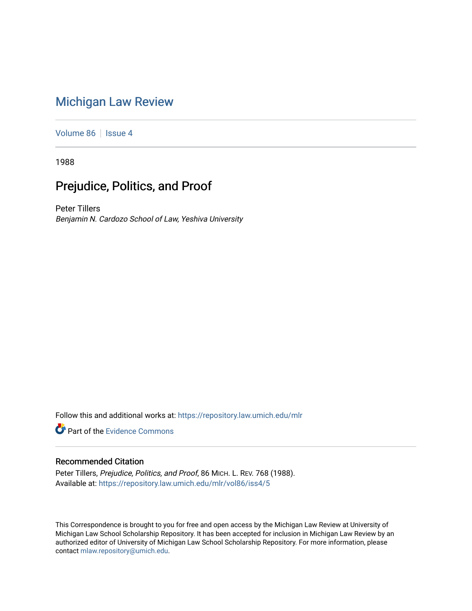# [Michigan Law Review](https://repository.law.umich.edu/mlr)

[Volume 86](https://repository.law.umich.edu/mlr/vol86) | [Issue 4](https://repository.law.umich.edu/mlr/vol86/iss4)

1988

## Prejudice, Politics, and Proof

Peter Tillers Benjamin N. Cardozo School of Law, Yeshiva University

Follow this and additional works at: [https://repository.law.umich.edu/mlr](https://repository.law.umich.edu/mlr?utm_source=repository.law.umich.edu%2Fmlr%2Fvol86%2Fiss4%2F5&utm_medium=PDF&utm_campaign=PDFCoverPages) 

**C** Part of the Evidence Commons

### Recommended Citation

Peter Tillers, Prejudice, Politics, and Proof, 86 MICH. L. REV. 768 (1988). Available at: [https://repository.law.umich.edu/mlr/vol86/iss4/5](https://repository.law.umich.edu/mlr/vol86/iss4/5?utm_source=repository.law.umich.edu%2Fmlr%2Fvol86%2Fiss4%2F5&utm_medium=PDF&utm_campaign=PDFCoverPages)

This Correspondence is brought to you for free and open access by the Michigan Law Review at University of Michigan Law School Scholarship Repository. It has been accepted for inclusion in Michigan Law Review by an authorized editor of University of Michigan Law School Scholarship Repository. For more information, please contact [mlaw.repository@umich.edu](mailto:mlaw.repository@umich.edu).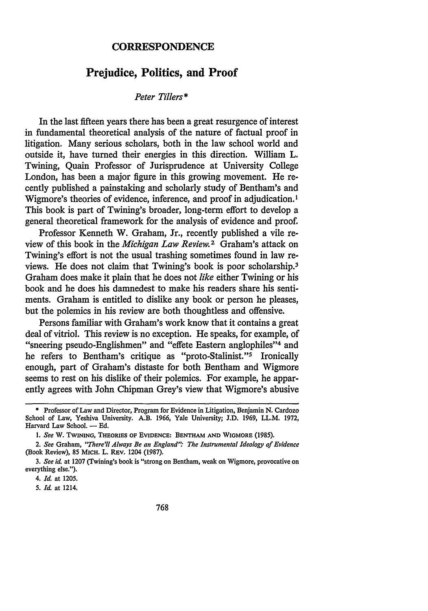#### **CORRESPONDENCE**

## **Prejudice, Politics, and Proof**

### *Peter Tillers\**

In the last fifteen years there has been a great resurgence of interest in fundamental theoretical analysis of the nature of factual proof in litigation. Many serious scholars, both in the law school world and outside it, have turned their energies in this direction. William L. Twining, Quain Professor of Jurisprudence at University College London, has been a major figure in this growing movement. He recently published a painstaking and scholarly study of Bentham's and Wigmore's theories of evidence, inference, and proof in adjudication.<sup>1</sup> This book is part of Twining's broader, long-term effort to develop a general theoretical framework for the analysis of evidence and proof.

Professor Kenneth W. Graham, Jr., recently published a vile review of this book in the *Michigan Law Review.* 2 Graham's attack on Twining's effort is not the usual trashing sometimes found in law reviews. He does not claim that Twining's book is poor scholarship.3 Graham does make it plain that he does not *like* either Twining or his book and he does his damnedest to make his readers share his sentiments. Graham is entitled to dislike any book or person he pleases, but the polemics in his review are both thoughtless and offensive.

Persons familiar with Graham's work know that it contains a great deal of vitriol. This review is no exception. He speaks, for example, of "sneering pseudo-Englishmen" and "effete Eastern anglophiles"4 and he refers to Bentham's critique as "proto-Stalinist."5 Ironically enough, part of Graham's distaste for both Bentham and Wigmore seems to rest on his dislike of their polemics. For example, he apparently agrees with John Chipman Grey's view that Wigmore's abusive

<sup>\*</sup> Professor of Law and Director, Program for Evidence in Litigation, Benjamin N. Cardozo School of Law, Yeshiva University. A.B. 1966, Yale University; J.D. 1969, LL.M. 1972, Harvard Law School. - Ed.

<sup>1.</sup> *See* w. TwINING, THEORIES OF EVIDENCE: BENTHAM AND WIGMORE (1985).

<sup>2.</sup> See Graham, "There'll Always Be an England": The Instrumental Ideology of Evidence (Book Review), 85 MICH. L. REV. 1204 (1987).

<sup>3.</sup> *See id.* at 1207 (fwining's book is "strong on Bentham, weak on Wigmore, provocative on everything else.").

<sup>4.</sup> *Id.* at 1205.

*<sup>5.</sup> Id.* at 1214.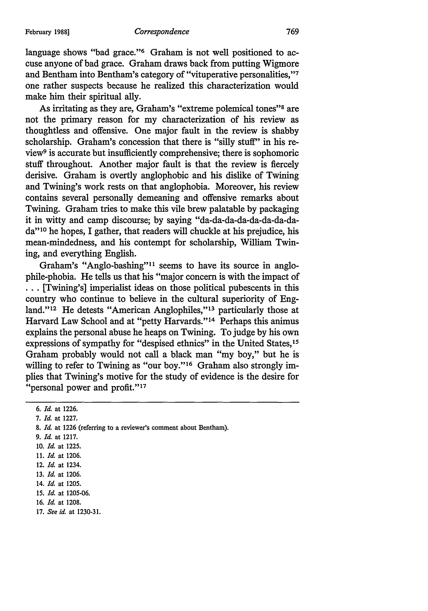language shows "bad grace."6 Graham is not well positioned to accuse anyone of bad grace. Graham draws back from putting Wigmore and Bentham into Bentham's category of "vituperative personalities,"7 one rather suspects because he realized this characterization would make him their spiritual ally.

As irritating as they are, Graham's "extreme polemical tones"<sup>8</sup> are not the primary reason for my characterization of his review as thoughtless and offensive. One major fault in the review is shabby scholarship. Graham's concession that there is "silly stuff'' in his review9 is accurate but insufficiently comprehensive; there is sophomoric stuff throughout. Another major fault is that the review is fiercely derisive. Graham is overtly anglophobic and his dislike of Twining and Twining's work rests on that anglophobia. Moreover, his review contains several personally demeaning and offensive remarks about Twining. Graham tries to make this vile brew palatable by packaging it in witty and camp discourse; by saying "da-da-da-da-da-da-da-dada"10 he hopes, I gather, that readers will chuckle at his prejudice, his mean-mindedness, and his contempt for scholarship, William Twining, and everything English.

Graham's "Anglo-bashing"11 seems to have its source in anglophile-phobia. He tells us that his "major concern is with the impact of ... [Twining's] imperialist ideas on those political pubescents in this country who continue to believe in the cultural superiority of England."<sup>12</sup> He detests "American Anglophiles,"<sup>13</sup> particularly those at Harvard Law School and at "petty Harvards."14 Perhaps this animus explains the personal abuse he heaps on Twining. To judge by his own expressions of sympathy for "despised ethnics" in the United States, 15 Graham probably would not call a black man "my boy," but he is willing to refer to Twining as "our boy."<sup>16</sup> Graham also strongly implies that Twining's motive for the study of evidence is the desire for "personal power and profit."<sup>17</sup>

- 7. *Id.* at 1227.
- 8. *Id.* at 1226 (referring to a reviewer's comment about Bentham).
- 9. *Id.* at 1217.
- 10. *Id.* at 1225.
- 11. *Id.* at 1206.
- 12. *Id.* at 1234.
- 13. *Id.* at 1206.
- 14. *Id.* at 1205.
- 15. *Id.* at 1205-06.
- 16. *Id.* at 1208.
- 17. *See id.* at 1230-31.

<sup>6.</sup> *Id.* at 1226.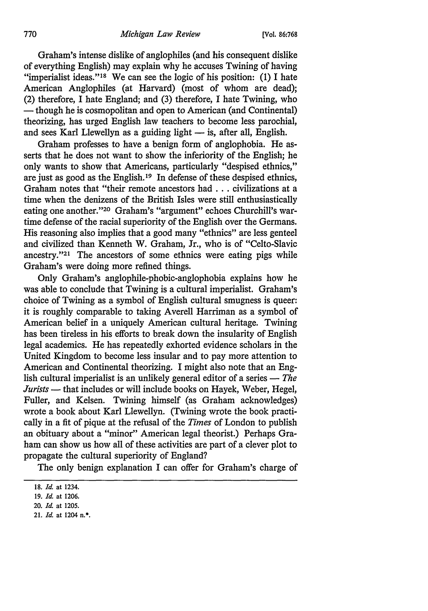Graham's intense dislike of anglophiles (and his consequent dislike of everything English) may explain why he accuses Twining of having "imperialist ideas."<sup>18</sup> We can see the logic of his position: (1) I hate American Anglophiles (at Harvard) (most of whom are dead); (2) therefore, I hate England; and (3) therefore, I hate Twining, who - though he is cosmopolitan and open to American (and Continental) theorizing, has urged English law teachers to become less parochial, and sees Karl Llewellyn as a guiding light  $-$  is, after all, English.

Graham professes to have a benign form of anglophobia. He asserts that he does not want to show the inferiority of the English; he only wants to show that Americans, particularly "despised ethnics," are just as good as the English. 19 In defense of these despised ethnics, Graham notes that "their remote ancestors had . . . civilizations at a time when the denizens of the British Isles were still enthusiastically eating one another."20 Graham's "argument" echoes Churchill's wartime defense of the racial superiority of the English over the Germans. His reasoning also implies that a good many "ethnics" are less genteel and civilized than Kenneth W. Graham, Jr., who is of "Celto-Slavic ancestry."21 The ancestors of some ethnics were eating pigs while Graham's were doing more refined things.

Only Graham's anglophile-phobic-anglophobia explains how he was able to conclude that Twining is a cultural imperialist. Graham's choice of Twining as a symbol of English cultural smugness is queer: it is roughly comparable to taking Averell Harriman as a symbol of American belief in a uniquely American cultural heritage. Twining has been tireless in his efforts to break down the insularity of English legal academics. He has repeatedly exhorted evidence scholars in the United Kingdom to become less insular and to pay more attention to American and Continental theorizing. I might also note that an English cultural imperialist is an unlikely general editor of a series - The *Jurists* — that includes or will include books on Hayek, Weber, Hegel, Fuller, and Kelsen. Twining himself (as Graham acknowledges) wrote a book about Karl Llewellyn. (Twining wrote the book practically in a fit of pique at the refusal of the *Times* of London to publish an obituary about a "minor" American legal theorist.) Perhaps Graham can show us how all of these activities are part of a clever plot to propagate the cultural superiority of England?

The only benign explanation I can offer for Graham's charge of

<sup>18.</sup> *Id.* at 1234.

<sup>19.</sup> *Id.* at 1206.

<sup>20.</sup> *Id.* at 1205.

<sup>21.</sup> *Id.* at 1204 n.\*.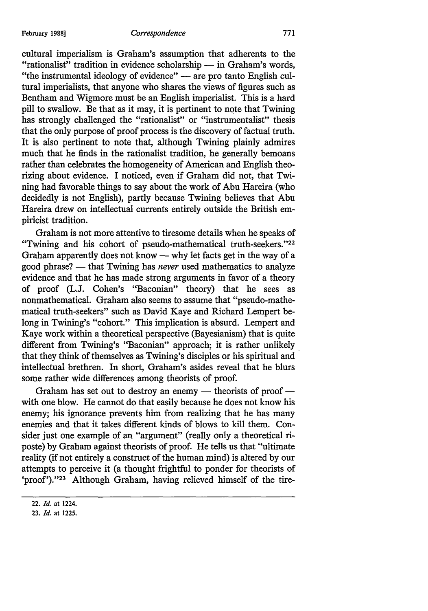cultural imperialism is Graham's assumption that adherents to the "rationalist" tradition in evidence scholarship - in Graham's words, "the instrumental ideology of evidence" — are pro tanto English cultural imperialists, that anyone who shares the views of figures such as Bentham and Wigmore must be an English imperialist. This is a hard pill to swallow. Be that as it may, it is pertinent to note that Twining has strongly challenged the "rationalist" or "instrumentalist" thesis that the only purpose of proof process is the discovery of factual truth. It is also pertinent to note that, although Twining plainly admires much that he finds in the rationalist tradition, he generally bemoans rather than celebrates the homogeneity of American and English theorizing about evidence. I noticed, even if Graham did not, that Twining had favorable things to say about the work of Abu Hareira (who decidedly is not English), partly because Twining believes that Abu Hareira drew on intellectual currents entirely outside the British empiricist tradition.

Graham is not more attentive to tiresome details when he speaks of "Twining and his cohort of pseudo-mathematical truth-seekers."22 Graham apparently does not know  $-$  why let facts get in the way of a good phrase? — that Twining has *never* used mathematics to analyze evidence and that he has made strong arguments in favor of a theory of proof (L.J. Cohen's "Baconian" theory) that he sees as nonmathematical. Graham also seems to assume that "pseudo-mathematical truth-seekers" such as David Kaye and Richard Lempert belong in Twining's "cohort." This implication is absurd. Lempert and Kaye work within a theoretical perspective (Bayesianism) that is quite different from Twining's "Baconian" approach; it is rather unlikely that they think of themselves as Twining's disciples or his spiritual and intellectual brethren. In short, Graham's asides reveal that he blurs some rather wide differences among theorists of proof.

Graham has set out to destroy an enemy  $-$  theorists of proof  $$ with one blow. He cannot do that easily because he does not know his enemy; his ignorance prevents him from realizing that he has many enemies and that it takes different kinds of blows to kill them. Consider just one example of an "argument" (really only a theoretical riposte) by Graham against theorists of proof. He tells us that "ultimate reality (if not entirely a construct of the human mind) is altered by our attempts to perceive it (a thought frightful to ponder for theorists of 'proof')."23 Although Graham, having relieved himself of the tire-

<sup>22.</sup> *Id.* at 1224.

<sup>23.</sup> *Id.* at 1225.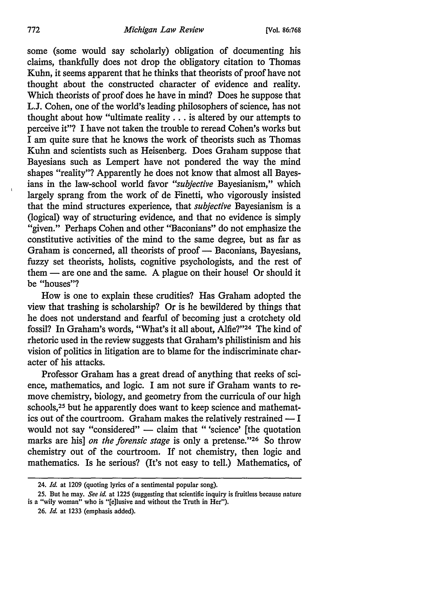some (some would say scholarly) obligation of documenting his claims, thankfully does not drop the obligatory citation to Thomas Kuhn, it seems apparent that he thinks that theorists of proof have not thought about the constructed character of evidence and reality. Which theorists of proof does he have in mind? Does he suppose that L.J. Cohen, one of the world's leading philosophers of science, has not thought about how "ultimate reality ... is altered by our attempts to perceive it"? I have not taken the trouble to reread Cohen's works but I am quite sure that he knows the work of theorists such as Thomas Kuhn and scientists such as Heisenberg. Does Graham suppose that Bayesians such as Lempert have not pondered the way the mind shapes "reality"? Apparently he does not know that almost all Bayesians in the law-school world favor *"subjective* Bayesianism," which largely sprang from the work of de Finetti, who vigorously insisted that the mind structures experience, that *subjective* Bayesianism is a (logical) way of structuring evidence, and that no evidence is simply "given." Perhaps Cohen and other "Baconians" do not emphasize the constitutive activities of the mind to the same degree, but as far as Graham is concerned, all theorists of proof — Baconians, Bayesians, fuzzy set theorists, holists, cognitive psychologists, and the rest of  $them \_\ are$  one and the same. A plague on their house! Or should it be "houses"?

How is one to explain these crudities? Has Graham adopted the view that trashing is scholarship? Or is he bewildered by things that he does not understand and fearful of becoming just a crotchety old fossil? In Graham's words, "What's it all about, Alfie?"24 The kind of rhetoric used in the review suggests that Graham's philistinism and his vision of politics in litigation are to blame for the indiscriminate character of his attacks.

Professor Graham has a great dread of anything that reeks of science, mathematics, and logic. I am not sure if Graham wants to remove chemistry, biology, and geometry from the curricula of our high schools,<sup>25</sup> but he apparently does want to keep science and mathematics out of the courtroom. Graham makes the relatively restrained  $-1$ would not say "considered" - claim that " 'science' [the quotation marks are his] *on the forensic stage* is only a pretense."26 So throw chemistry out of the courtroom. If not chemistry, then logic and mathematics. Is he serious? (It's not easy to tell.) Mathematics, of

<sup>24.</sup> *Id.* at 1209 (quoting lyrics of a sentimental popular song).

<sup>25.</sup> But he may. *See id.* at 1225 (suggesting that scientific inquiry is fruitless because nature is a "wily woman" who is "[e]lusive and without the Truth in Her").

<sup>26.</sup> *Id.* at 1233 (emphasis added).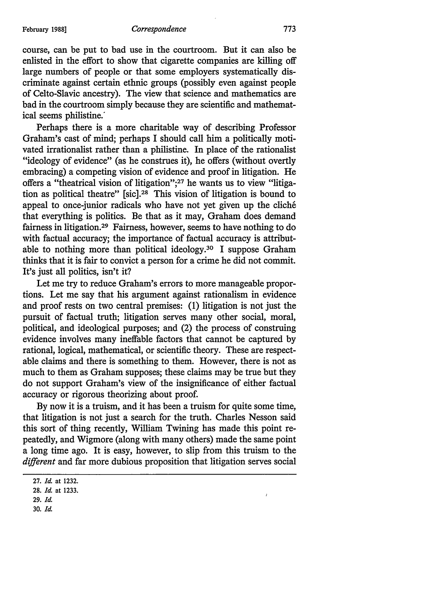course, can be put to bad use in the courtroom. But it can also be enlisted in the effort to show that cigarette companies are killing off large numbers of people or that some employers systematically discriminate against certain ethnic groups (possibly even against people of Celto-Slavic ancestry). The view that science and mathematics are bad in the courtroom simply because they are scientific and mathematical seems philistine.<sup>7</sup>

Perhaps there is a more charitable way of describing Professor Graham's cast of mind; perhaps I should call him a politically motivated irrationalist rather than a philistine. In place of the rationalist "ideology of evidence" (as he construes it), he offers (without overtly embracing) a competing vision of evidence and proof in litigation. He offers a "theatrical vision of litigation";27 he wants us to view "litigation as political theatre" [sic].28 This vision of litigation is bound to appeal to once-junior radicals who have not yet given up the cliche that everything is politics. Be that as it may, Graham does demand fairness in litigation.29 Fairness, however, seems to have nothing to do with factual accuracy; the importance of factual accuracy is attributable to nothing more than political ideology.30 I suppose Graham thinks that it is fair to convict a person for a crime he did not commit. It's just all politics, isn't it?

Let me try to reduce Graham's errors to more manageable proportions. Let me say that his argument against rationalism in evidence and proof rests on two central premises: (1) litigation is not just the pursuit of factual truth; litigation serves many other social, moral, political, and ideological purposes; and (2) the process of construing evidence involves many ineffable factors that cannot be captured by rational, logical, mathematical, or scientific theory. These are respectable claims and there is something to them. However, there is not as much to them as Graham supposes; these claims may be true but they do not support Graham's view of the insignificance of either factual accuracy or rigorous theorizing about proof.

By now it is a truism, and it has been a truism for quite some time, that litigation is not just a search for the truth. Charles Nesson said this sort of thing recently, William Twining has made this point repeatedly, and Wigmore (along with many others) made the same point a long time ago. It is easy, however, to slip from this truism to the *different* and far more dubious proposition that litigation serves social

 $\overline{ }$ 

30. *Id.* 

<sup>27.</sup> *Id.* at 1232.

<sup>28.</sup> *Id.* at 1233.

<sup>29.</sup> *Id.*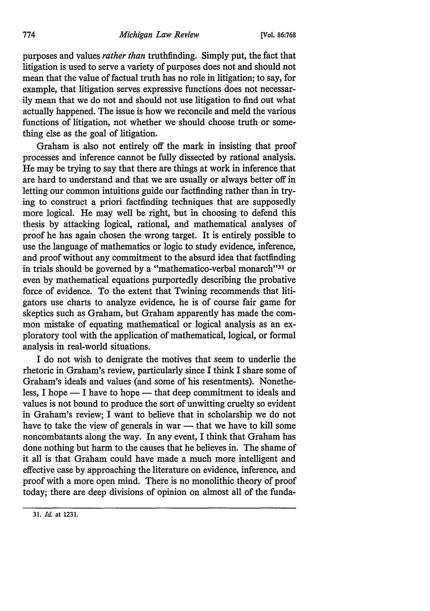purposes and values *rather than* truthfinding. Simply put, the fact that litigation is used to serve a variety of purposes does not and should not mean that the value of factual truth has no role in litigation; to say, for example, that litigation serves expressive functions does not necessarily mean that we do not and should not use litigation to find out what actually happened. The issue is how we reconcile and meld the various functions of litigation, not whether we should choose truth or something else as the goal of litigation.

Graham is also not entirely off the mark in insisting that proof processes and inference cannot be fully dissected by rational analysis. He may be trying to say that there are things at work in inference that are hard to understand and that we are usually or always better off in letting our common intuitions guide our factfinding rather than in trying to construct a priori factfinding techniques that are supposedly more logical. He may well be right, but in choosing to defend this thesis by attacking logical, rational, and mathematical analyses of proof he has again chosen the wrong target. It is entirely possible to use the language of mathematics or logic to study evidence, inference, and proof without any commitment to the absurd idea that factfinding in trials should be governed by a "mathematico-verbal monarch"31 or even by mathematical equations purportedly describing the probative force of evidence. To the extent that Twining recommends that litigators use charts to analyze evidence, he is of course fair game for skeptics such as Graham, but Graham apparently has made the common mistake of equating mathematical or logical analysis as an exploratory tool with the application of mathematical, logical, or formal analysis in real-world situations.

I do not wish to denigrate the motives that seem to underlie the rhetoric in Graham's review, particularly since I think I share some of Graham's ideals and values (and some of his resentments). Nonetheless, I hope  $-$  I have to hope  $-$  that deep commitment to ideals and values is not bound to produce the sort of unwitting cruelty so evident in Graham's review; I want to believe that in scholarship we do not have to take the view of generals in war  $-$  that we have to kill some noncombatants along the way. In any event, I think that Graham has done nothing but harm to the causes that he believes in. The shame of it all is that Graham could have made a much more intelligent and effective case by approaching the literature on evidence, inference, and proof with a more open mind. There is no monolithic theory of proof today; there are deep divisions of opinion on almost all of the funda-

<sup>31.</sup> *Id.* at 1231.